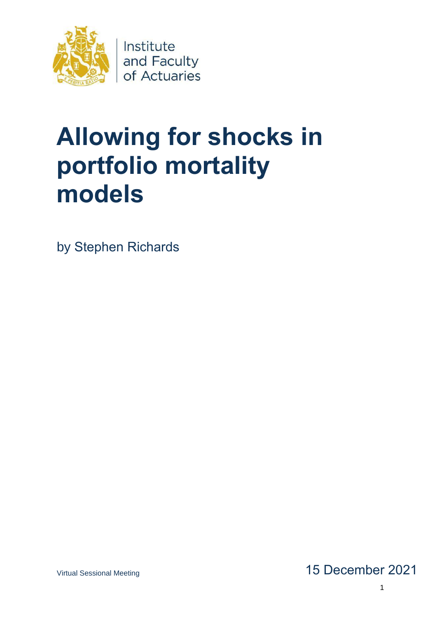

# **Allowing for shocks in portfolio mortality models**

by Stephen Richards

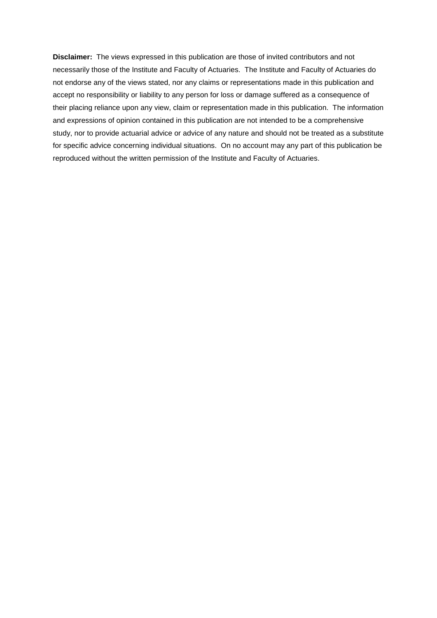**Disclaimer:** The views expressed in this publication are those of invited contributors and not necessarily those of the Institute and Faculty of Actuaries. The Institute and Faculty of Actuaries do not endorse any of the views stated, nor any claims or representations made in this publication and accept no responsibility or liability to any person for loss or damage suffered as a consequence of their placing reliance upon any view, claim or representation made in this publication. The information and expressions of opinion contained in this publication are not intended to be a comprehensive study, nor to provide actuarial advice or advice of any nature and should not be treated as a substitute for specific advice concerning individual situations. On no account may any part of this publication be reproduced without the written permission of the Institute and Faculty of Actuaries.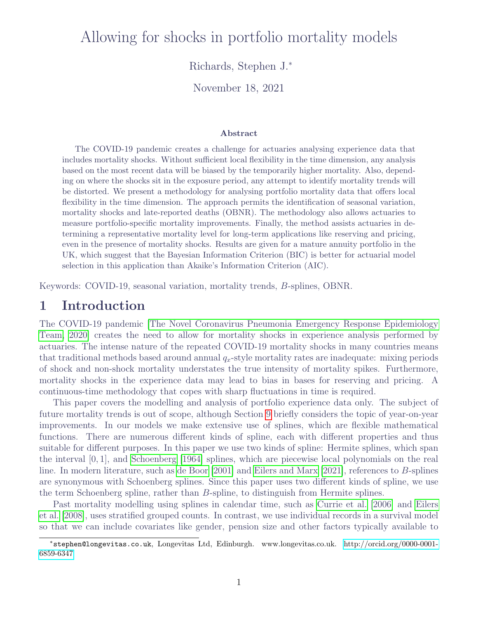## Allowing for shocks in portfolio mortality models

Richards, Stephen J.<sup>∗</sup>

November 18, 2021

#### Abstract

The COVID-19 pandemic creates a challenge for actuaries analysing experience data that includes mortality shocks. Without sufficient local flexibility in the time dimension, any analysis based on the most recent data will be biased by the temporarily higher mortality. Also, depending on where the shocks sit in the exposure period, any attempt to identify mortality trends will be distorted. We present a methodology for analysing portfolio mortality data that offers local flexibility in the time dimension. The approach permits the identification of seasonal variation, mortality shocks and late-reported deaths (OBNR). The methodology also allows actuaries to measure portfolio-specific mortality improvements. Finally, the method assists actuaries in determining a representative mortality level for long-term applications like reserving and pricing, even in the presence of mortality shocks. Results are given for a mature annuity portfolio in the UK, which suggest that the Bayesian Information Criterion (BIC) is better for actuarial model selection in this application than Akaike's Information Criterion (AIC).

Keywords: COVID-19, seasonal variation, mortality trends, B-splines, OBNR.

## 1 Introduction

The COVID-19 pandemic [\[The Novel Coronavirus Pneumonia Emergency Response Epidemiology](#page-26-0) [Team, 2020\]](#page-26-0) creates the need to allow for mortality shocks in experience analysis performed by actuaries. The intense nature of the repeated COVID-19 mortality shocks in many countries means that traditional methods based around annual  $q_x$ -style mortality rates are inadequate: mixing periods of shock and non-shock mortality understates the true intensity of mortality spikes. Furthermore, mortality shocks in the experience data may lead to bias in bases for reserving and pricing. A continuous-time methodology that copes with sharp fluctuations in time is required.

This paper covers the modelling and analysis of portfolio experience data only. The subject of future mortality trends is out of scope, although Section [9](#page-17-0) briefly considers the topic of year-on-year improvements. In our models we make extensive use of splines, which are flexible mathematical functions. There are numerous different kinds of spline, each with different properties and thus suitable for different purposes. In this paper we use two kinds of spline: Hermite splines, which span the interval [0, 1], and [Schoenberg](#page-26-1) [\[1964\]](#page-26-1) splines, which are piecewise local polynomials on the real line. In modern literature, such as [de Boor](#page-24-0) [\[2001\]](#page-24-0) and [Eilers and Marx](#page-24-1) [\[2021\]](#page-24-1), references to B-splines are synonymous with Schoenberg splines. Since this paper uses two different kinds of spline, we use the term Schoenberg spline, rather than B-spline, to distinguish from Hermite splines.

Past mortality modelling using splines in calendar time, such as [Currie et al.](#page-24-2) [\[2006\]](#page-24-2) and [Eilers](#page-24-3) [et al.](#page-24-3) [\[2008\]](#page-24-3), uses stratified grouped counts. In contrast, we use individual records in a survival model so that we can include covariates like gender, pension size and other factors typically available to

<sup>∗</sup>stephen@longevitas.co.uk, Longevitas Ltd, Edinburgh. www.longevitas.co.uk. [http://orcid.org/0000-0001-](http://orcid.org/0000-0001-6859-6347) [6859-6347](http://orcid.org/0000-0001-6859-6347)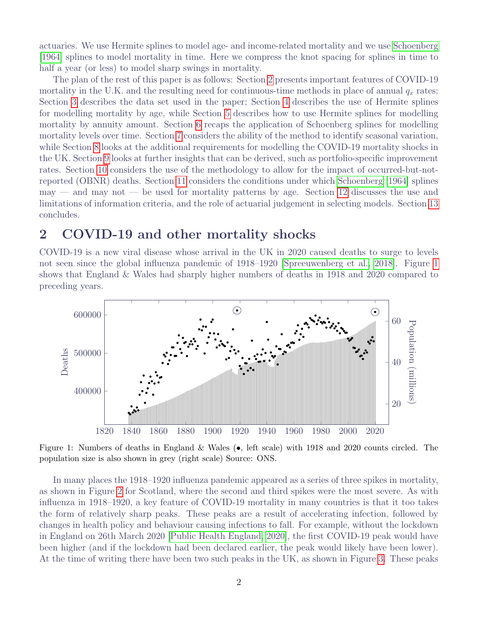actuaries. We use Hermite splines to model age- and income-related mortality and we use [Schoenberg](#page-26-1) [\[1964\]](#page-26-1) splines to model mortality in time. Here we compress the knot spacing for splines in time to half a year (or less) to model sharp swings in mortality.

The plan of the rest of this paper is as follows: Section [2](#page-3-0) presents important features of COVID-19 mortality in the U.K. and the resulting need for continuous-time methods in place of annual  $q_x$  rates; Section [3](#page-5-0) describes the data set used in the paper; Section [4](#page-5-1) describes the use of Hermite splines for modelling mortality by age, while Section [5](#page-6-0) describes how to use Hermite splines for modelling mortality by annuity amount. Section [6](#page-10-0) recaps the application of Schoenberg splines for modelling mortality levels over time. Section [7](#page-14-0) considers the ability of the method to identify seasonal variation, while Section [8](#page-15-0) looks at the additional requirements for modelling the COVID-19 mortality shocks in the UK. Section [9](#page-17-0) looks at further insights that can be derived, such as portfolio-specific improvement rates. Section [10](#page-18-0) considers the use of the methodology to allow for the impact of occurred-but-notreported (OBNR) deaths. Section [11](#page-19-0) considers the conditions under which [Schoenberg](#page-26-1) [\[1964\]](#page-26-1) splines  $m$ and may not — be used for mortality patterns by age. Section [12](#page-20-0) discusses the use and limitations of information criteria, and the role of actuarial judgement in selecting models. Section [13](#page-22-0) concludes.

#### <span id="page-3-0"></span>2 COVID-19 and other mortality shocks

COVID-19 is a new viral disease whose arrival in the UK in 2020 caused deaths to surge to levels not seen since the global influenza pandemic of 1918–1920 [\[Spreeuwenberg et al., 2018\]](#page-26-2). Figure [1](#page-3-1) shows that England & Wales had sharply higher numbers of deaths in 1918 and 2020 compared to preceding years.

<span id="page-3-1"></span>

Figure 1: Numbers of deaths in England & Wales (•, left scale) with 1918 and 2020 counts circled. The population size is also shown in grey (right scale) Source: ONS.

In many places the 1918–1920 influenza pandemic appeared as a series of three spikes in mortality, as shown in Figure [2](#page-4-0) for Scotland, where the second and third spikes were the most severe. As with influenza in 1918–1920, a key feature of COVID-19 mortality in many countries is that it too takes the form of relatively sharp peaks. These peaks are a result of accelerating infection, followed by changes in health policy and behaviour causing infections to fall. For example, without the lockdown in England on 26th March 2020 [\[Public Health England, 2020\]](#page-25-0), the first COVID-19 peak would have been higher (and if the lockdown had been declared earlier, the peak would likely have been lower). At the time of writing there have been two such peaks in the UK, as shown in Figure [3.](#page-4-1) These peaks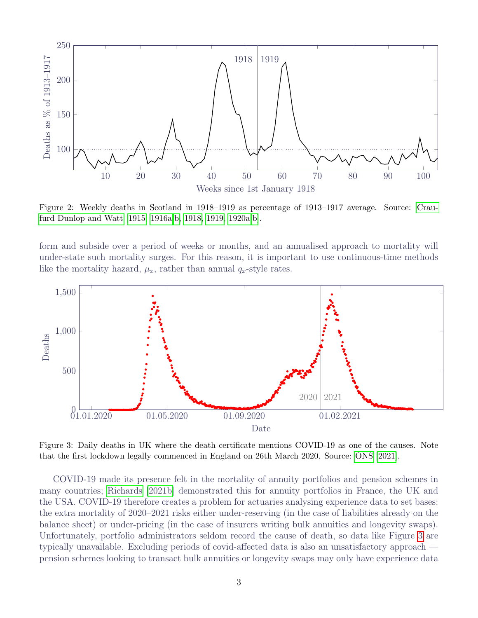<span id="page-4-0"></span>

Figure 2: Weekly deaths in Scotland in 1918–1919 as percentage of 1913–1917 average. Source: [Crau](#page-24-4)[furd Dunlop and Watt](#page-24-4) [\[1915,](#page-24-4) [1916a](#page-24-5)[,b,](#page-24-6) [1918,](#page-24-7) [1919,](#page-24-8) [1920a](#page-24-9)[,b\]](#page-24-10).

form and subside over a period of weeks or months, and an annualised approach to mortality will under-state such mortality surges. For this reason, it is important to use continuous-time methods like the mortality hazard,  $\mu_x$ , rather than annual  $q_x$ -style rates.

<span id="page-4-1"></span>

Figure 3: Daily deaths in UK where the death certificate mentions COVID-19 as one of the causes. Note that the first lockdown legally commenced in England on 26th March 2020. Source: [ONS](#page-25-1) [\[2021\]](#page-25-1).

COVID-19 made its presence felt in the mortality of annuity portfolios and pension schemes in many countries; [Richards](#page-25-2) [\[2021b\]](#page-25-2) demonstrated this for annuity portfolios in France, the UK and the USA. COVID-19 therefore creates a problem for actuaries analysing experience data to set bases: the extra mortality of 2020–2021 risks either under-reserving (in the case of liabilities already on the balance sheet) or under-pricing (in the case of insurers writing bulk annuities and longevity swaps). Unfortunately, portfolio administrators seldom record the cause of death, so data like Figure [3](#page-4-1) are typically unavailable. Excluding periods of covid-affected data is also an unsatisfactory approach pension schemes looking to transact bulk annuities or longevity swaps may only have experience data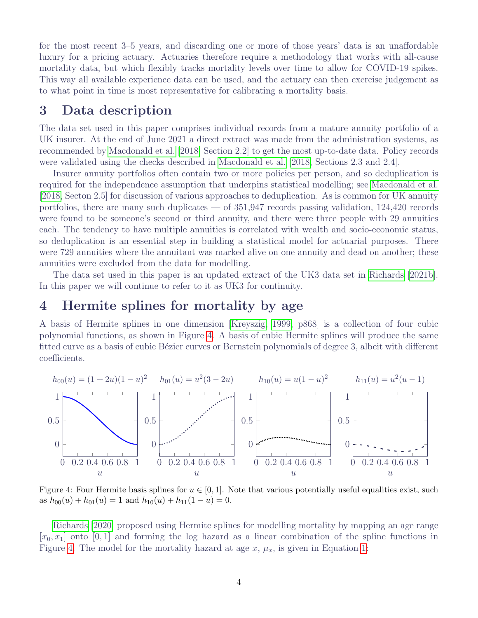for the most recent 3–5 years, and discarding one or more of those years' data is an unaffordable luxury for a pricing actuary. Actuaries therefore require a methodology that works with all-cause mortality data, but which flexibly tracks mortality levels over time to allow for COVID-19 spikes. This way all available experience data can be used, and the actuary can then exercise judgement as to what point in time is most representative for calibrating a mortality basis.

## <span id="page-5-0"></span>3 Data description

The data set used in this paper comprises individual records from a mature annuity portfolio of a UK insurer. At the end of June 2021 a direct extract was made from the administration systems, as recommended by [Macdonald et al.](#page-25-3) [\[2018,](#page-25-3) Section 2.2] to get the most up-to-date data. Policy records were validated using the checks described in [Macdonald et al.](#page-25-3) [\[2018,](#page-25-3) Sections 2.3 and 2.4].

Insurer annuity portfolios often contain two or more policies per person, and so deduplication is required for the independence assumption that underpins statistical modelling; see [Macdonald et al.](#page-25-3) [\[2018,](#page-25-3) Secton 2.5] for discussion of various approaches to deduplication. As is common for UK annuity portfolios, there are many such duplicates — of  $351,947$  records passing validation,  $124,420$  records were found to be someone's second or third annuity, and there were three people with 29 annuities each. The tendency to have multiple annuities is correlated with wealth and socio-economic status, so deduplication is an essential step in building a statistical model for actuarial purposes. There were 729 annuities where the annuitant was marked alive on one annuity and dead on another; these annuities were excluded from the data for modelling.

The data set used in this paper is an updated extract of the UK3 data set in [Richards](#page-25-2) [\[2021b\]](#page-25-2). In this paper we will continue to refer to it as UK3 for continuity.

## <span id="page-5-1"></span>4 Hermite splines for mortality by age

A basis of Hermite splines in one dimension [\[Kreyszig, 1999,](#page-25-4) p868] is a collection of four cubic polynomial functions, as shown in Figure [4.](#page-5-2) A basis of cubic Hermite splines will produce the same fitted curve as a basis of cubic Bézier curves or Bernstein polynomials of degree 3, albeit with different coefficients.

<span id="page-5-2"></span>

Figure 4: Four Hermite basis splines for  $u \in [0, 1]$ . Note that various potentially useful equalities exist, such as  $h_{00}(u) + h_{01}(u) = 1$  and  $h_{10}(u) + h_{11}(1-u) = 0$ .

[Richards](#page-25-5) [\[2020\]](#page-25-5) proposed using Hermite splines for modelling mortality by mapping an age range  $[x_0, x_1]$  onto [0, 1] and forming the log hazard as a linear combination of the spline functions in Figure [4.](#page-5-2) The model for the mortality hazard at age  $x, \mu_x$ , is given in Equation [1:](#page-6-1)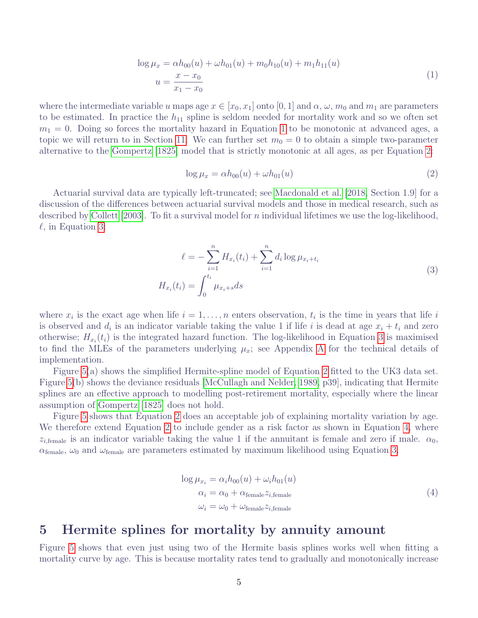$$
\log \mu_x = \alpha h_{00}(u) + \omega h_{01}(u) + m_0 h_{10}(u) + m_1 h_{11}(u)
$$
  

$$
u = \frac{x - x_0}{x_1 - x_0}
$$
 (1)

<span id="page-6-1"></span>where the intermediate variable u maps age  $x \in [x_0, x_1]$  onto [0, 1] and  $\alpha, \omega, m_0$  and  $m_1$  are parameters to be estimated. In practice the  $h_{11}$  spline is seldom needed for mortality work and so we often set  $m_1 = 0$ . Doing so forces the mortality hazard in Equation [1](#page-6-1) to be monotonic at advanced ages, a topic we will return to in Section [11.](#page-19-0) We can further set  $m_0 = 0$  to obtain a simple two-parameter alternative to the [Gompertz](#page-24-11) [\[1825\]](#page-24-11) model that is strictly monotonic at all ages, as per Equation [2:](#page-6-2)

<span id="page-6-2"></span>
$$
\log \mu_x = \alpha h_{00}(u) + \omega h_{01}(u) \tag{2}
$$

Actuarial survival data are typically left-truncated; see [Macdonald et al.](#page-25-3) [\[2018,](#page-25-3) Section 1.9] for a discussion of the differences between actuarial survival models and those in medical research, such as described by [Collett](#page-24-12) [\[2003\]](#page-24-12). To fit a survival model for n individual lifetimes we use the log-likelihood,  $\ell$ , in Equation [3:](#page-6-3)

$$
\ell = -\sum_{i=1}^{n} H_{x_i}(t_i) + \sum_{i=1}^{n} d_i \log \mu_{x_i + t_i}
$$
  

$$
H_{x_i}(t_i) = \int_0^{t_i} \mu_{x_i + s} ds
$$
 (3)

<span id="page-6-3"></span>where  $x_i$  is the exact age when life  $i = 1, \ldots, n$  enters observation,  $t_i$  is the time in years that life is is observed and  $d_i$  is an indicator variable taking the value 1 if life i is dead at age  $x_i + t_i$  and zero otherwise;  $H_{x_i}(t_i)$  is the integrated hazard function. The log-likelihood in Equation [3](#page-6-3) is maximised to find the MLEs of the parameters underlying  $\mu_x$ ; see [A](#page-27-0)ppendix A for the technical details of implementation.

Figure [5\(](#page-7-0)a) shows the simplified Hermite-spline model of Equation [2](#page-6-2) fitted to the UK3 data set. Figure [5\(](#page-7-0)b) shows the deviance residuals [\[McCullagh and Nelder, 1989,](#page-25-6) p39], indicating that Hermite splines are an effective approach to modelling post-retirement mortality, especially where the linear assumption of [Gompertz](#page-24-11) [\[1825\]](#page-24-11) does not hold.

Figure [5](#page-7-0) shows that Equation [2](#page-6-2) does an acceptable job of explaining mortality variation by age. We therefore extend Equation [2](#page-6-2) to include gender as a risk factor as shown in Equation [4,](#page-6-4) where  $z_{i,\text{female}}$  is an indicator variable taking the value 1 if the annuitant is female and zero if male.  $\alpha_0$ ,  $\alpha_{\text{female}}$ ,  $\omega_0$  and  $\omega_{\text{female}}$  are parameters estimated by maximum likelihood using Equation [3.](#page-6-3)

$$
\log \mu_{x_i} = \alpha_i h_{00}(u) + \omega_i h_{01}(u)
$$
  
\n
$$
\alpha_i = \alpha_0 + \alpha_{\text{female}} z_{i,\text{female}}
$$
  
\n
$$
\omega_i = \omega_0 + \omega_{\text{female}} z_{i,\text{female}}
$$
\n(4)

#### <span id="page-6-4"></span><span id="page-6-0"></span>5 Hermite splines for mortality by annuity amount

Figure [5](#page-7-0) shows that even just using two of the Hermite basis splines works well when fitting a mortality curve by age. This is because mortality rates tend to gradually and monotonically increase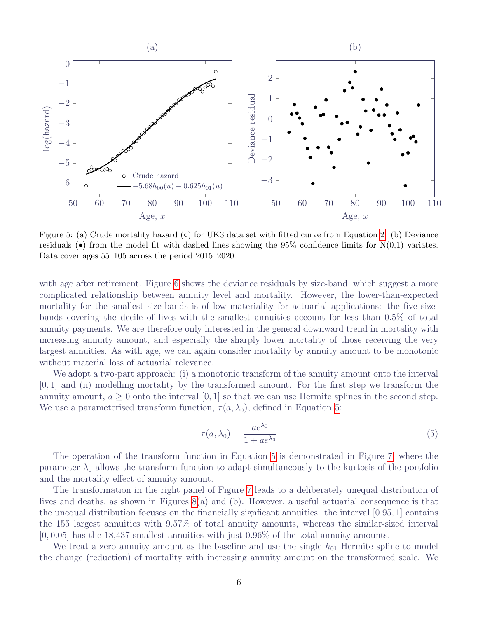<span id="page-7-0"></span>

Figure 5: (a) Crude mortality hazard (◦) for UK3 data set with fitted curve from Equation [2.](#page-6-2) (b) Deviance residuals  $\bullet$  from the model fit with dashed lines showing the 95% confidence limits for N(0,1) variates. Data cover ages 55–105 across the period 2015–2020.

with age after retirement. Figure [6](#page-8-0) shows the deviance residuals by size-band, which suggest a more complicated relationship between annuity level and mortality. However, the lower-than-expected mortality for the smallest size-bands is of low materiality for actuarial applications: the five sizebands covering the decile of lives with the smallest annuities account for less than 0.5% of total annuity payments. We are therefore only interested in the general downward trend in mortality with increasing annuity amount, and especially the sharply lower mortality of those receiving the very largest annuities. As with age, we can again consider mortality by annuity amount to be monotonic without material loss of actuarial relevance.

We adopt a two-part approach: (i) a monotonic transform of the annuity amount onto the interval  $[0, 1]$  and (ii) modelling mortality by the transformed amount. For the first step we transform the annuity amount,  $a > 0$  onto the interval [0, 1] so that we can use Hermite splines in the second step. We use a parameterised transform function,  $\tau(a, \lambda_0)$ , defined in Equation [5:](#page-7-1)

<span id="page-7-1"></span>
$$
\tau(a,\lambda_0) = \frac{ae^{\lambda_0}}{1 + ae^{\lambda_0}}
$$
\n(5)

The operation of the transform function in Equation [5](#page-7-1) is demonstrated in Figure [7,](#page-8-1) where the parameter  $\lambda_0$  allows the transform function to adapt simultaneously to the kurtosis of the portfolio and the mortality effect of annuity amount.

The transformation in the right panel of Figure [7](#page-8-1) leads to a deliberately unequal distribution of lives and deaths, as shown in Figures [8\(](#page-9-0)a) and (b). However, a useful actuarial consequence is that the unequal distribution focuses on the financially signficant annuities: the interval [0.95, 1] contains the 155 largest annuities with 9.57% of total annuity amounts, whereas the similar-sized interval [0, 0.05] has the 18,437 smallest annuities with just 0.96% of the total annuity amounts.

We treat a zero annuity amount as the baseline and use the single  $h_{01}$  Hermite spline to model the change (reduction) of mortality with increasing annuity amount on the transformed scale. We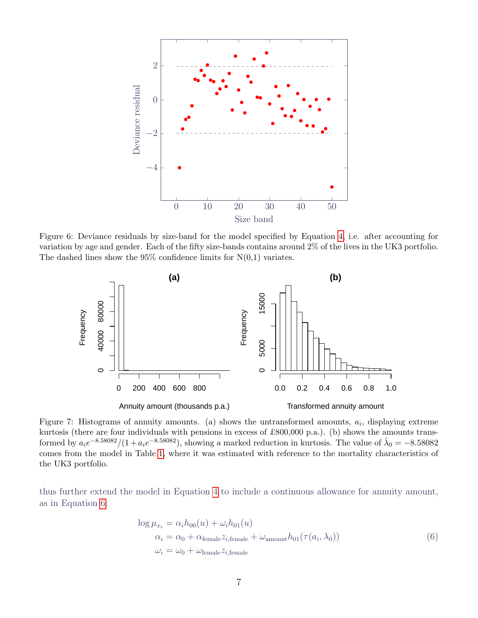<span id="page-8-0"></span>

Figure 6: Deviance residuals by size-band for the model specified by Equation [4,](#page-6-4) i.e. after accounting for variation by age and gender. Each of the fifty size-bands contains around 2% of the lives in the UK3 portfolio. The dashed lines show the  $95\%$  confidence limits for  $N(0,1)$  variates.

<span id="page-8-1"></span>

Figure 7: Histograms of annuity amounts. (a) shows the untransformed amounts,  $a_i$ , displaying extreme kurtosis (there are four individuals with pensions in excess of £800,000 p.a.). (b) shows the amounts transformed by  $a_i e^{-8.58082}/(1 + a_i e^{-8.58082})$ , showing a marked reduction in kurtosis. The value of  $\hat{\lambda}_0 = -8.58082$ comes from the model in Table [1,](#page-9-1) where it was estimated with reference to the mortality characteristics of the UK3 portfolio.

<span id="page-8-2"></span>thus further extend the model in Equation [4](#page-6-4) to include a continuous allowance for annuity amount, as in Equation [6:](#page-8-2)

$$
\log \mu_{x_i} = \alpha_i h_{00}(u) + \omega_i h_{01}(u)
$$
  
\n
$$
\alpha_i = \alpha_0 + \alpha_{\text{female}} z_{i,\text{female}} + \omega_{\text{amount}} h_{01}(\tau(a_i, \lambda_0))
$$
  
\n
$$
\omega_i = \omega_0 + \omega_{\text{female}} z_{i,\text{female}}
$$
\n(6)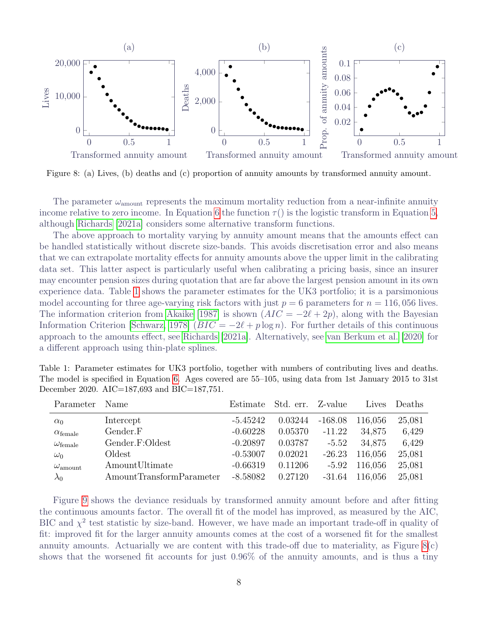<span id="page-9-0"></span>

Figure 8: (a) Lives, (b) deaths and (c) proportion of annuity amounts by transformed annuity amount.

The parameter  $\omega_{\text{amount}}$  represents the maximum mortality reduction from a near-infinite annuity income relative to zero income. In Equation [6](#page-8-2) the function  $\tau$  () is the logistic transform in Equation [5,](#page-7-1) although [Richards](#page-25-7) [\[2021a\]](#page-25-7) considers some alternative transform functions.

The above approach to mortality varying by annuity amount means that the amounts effect can be handled statistically without discrete size-bands. This avoids discretisation error and also means that we can extrapolate mortality effects for annuity amounts above the upper limit in the calibrating data set. This latter aspect is particularly useful when calibrating a pricing basis, since an insurer may encounter pension sizes during quotation that are far above the largest pension amount in its own experience data. Table [1](#page-9-1) shows the parameter estimates for the UK3 portfolio; it is a parsimonious model accounting for three age-varying risk factors with just  $p = 6$  parameters for  $n = 116,056$  lives. The information criterion from [Akaike](#page-23-0) [\[1987\]](#page-23-0) is shown  $(ATC = -2\ell + 2p)$ , along with the Bayesian Information Criterion [\[Schwarz, 1978\]](#page-26-3)  $(BIC = -2\ell + p \log n)$ . For further details of this continuous approach to the amounts effect, see [Richards](#page-25-7) [\[2021a\]](#page-25-7). Alternatively, see [van Berkum et al.](#page-26-4) [\[2020\]](#page-26-4) for a different approach using thin-plate splines.

<span id="page-9-1"></span>Table 1: Parameter estimates for UK3 portfolio, together with numbers of contributing lives and deaths. The model is specified in Equation [6.](#page-8-2) Ages covered are 55–105, using data from 1st January 2015 to 31st December 2020. AIC=187,693 and BIC=187,751.

| Parameter                | Name                     | Estimate   | Std. err. Z-value |           | Lives   | Deaths |
|--------------------------|--------------------------|------------|-------------------|-----------|---------|--------|
| $\alpha_0$               | Intercept                | $-5.45242$ | 0.03244           | $-168.08$ | 116,056 | 25,081 |
| $\alpha_{\text{female}}$ | Gender.F                 | $-0.60228$ | 0.05370           | $-11.22$  | 34,875  | 6,429  |
| $\omega_{\text{female}}$ | Gender.F:Oldest          | $-0.20897$ | 0.03787           | $-5.52$   | 34,875  | 6,429  |
| $\omega_0$               | Oldest                   | $-0.53007$ | 0.02021           | $-26.23$  | 116,056 | 25,081 |
| $\omega_{\rm amount}$    | AmountUltimate           | $-0.66319$ | 0.11206           | $-5.92$   | 116,056 | 25,081 |
| $\lambda_0$              | AmountTransformParameter | $-8.58082$ | 0.27120           | $-31.64$  | 116,056 | 25,081 |

Figure [9](#page-10-1) shows the deviance residuals by transformed annuity amount before and after fitting the continuous amounts factor. The overall fit of the model has improved, as measured by the AIC, BIC and  $\chi^2$  test statistic by size-band. However, we have made an important trade-off in quality of fit: improved fit for the larger annuity amounts comes at the cost of a worsened fit for the smallest annuity amounts. Actuarially we are content with this trade-off due to materiality, as Figure  $8(c)$ shows that the worsened fit accounts for just 0.96% of the annuity amounts, and is thus a tiny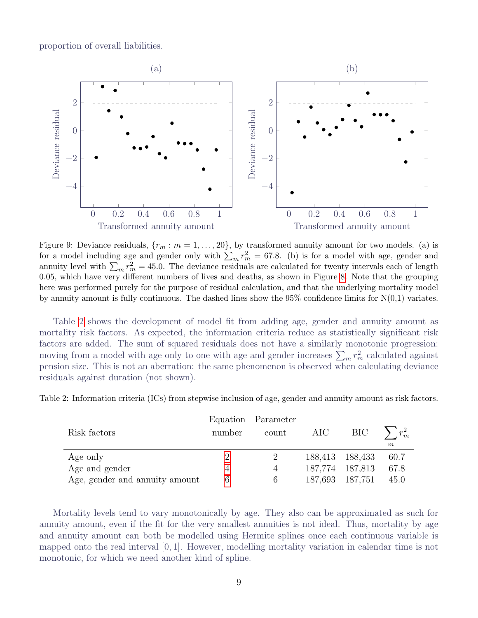proportion of overall liabilities.

<span id="page-10-1"></span>

Figure 9: Deviance residuals,  $\{r_m : m = 1, \ldots, 20\}$ , by transformed annuity amount for two models. (a) is for a model including age and gender only with  $\sum_m r_m^2 = 67.8$ . (b) is for a model with age, gender and annuity level with  $\sum_m r_m^2 = 45.0$ . The deviance residuals are calculated for twenty intervals each of length 0.05, which have very different numbers of lives and deaths, as shown in Figure [8.](#page-9-0) Note that the grouping here was performed purely for the purpose of residual calculation, and that the underlying mortality model by annuity amount is fully continuous. The dashed lines show the  $95\%$  confidence limits for  $N(0,1)$  variates.

Table [2](#page-10-2) shows the development of model fit from adding age, gender and annuity amount as mortality risk factors. As expected, the information criteria reduce as statistically significant risk factors are added. The sum of squared residuals does not have a similarly monotonic progression: moving from a model with age only to one with age and gender increases  $\sum_m r_m^2$  calculated against pension size. This is not an aberration: the same phenomenon is observed when calculating deviance residuals against duration (not shown).

<span id="page-10-2"></span>

| Table 2: Information criteria (ICs) from stepwise inclusion of age, gender and annuity amount as risk factors. |  |  |  |  |  |  |  |
|----------------------------------------------------------------------------------------------------------------|--|--|--|--|--|--|--|
|                                                                                                                |  |  |  |  |  |  |  |

|                                |        | Equation Parameter |                 |                 |                  |
|--------------------------------|--------|--------------------|-----------------|-----------------|------------------|
| Risk factors                   | number | count              | AIC             | BIC \           | $\sum r_m^2$     |
|                                |        |                    |                 |                 | $\boldsymbol{m}$ |
| Age only                       |        |                    |                 | 188,413 188,433 | 60.7             |
| Age and gender                 |        | $\overline{4}$     | 187,774 187,813 |                 | 67.8             |
| Age, gender and annuity amount | 6      |                    | 187,693 187,751 |                 | 45.0             |

<span id="page-10-0"></span>Mortality levels tend to vary monotonically by age. They also can be approximated as such for annuity amount, even if the fit for the very smallest annuities is not ideal. Thus, mortality by age and annuity amount can both be modelled using Hermite splines once each continuous variable is mapped onto the real interval  $[0, 1]$ . However, modelling mortality variation in calendar time is not monotonic, for which we need another kind of spline.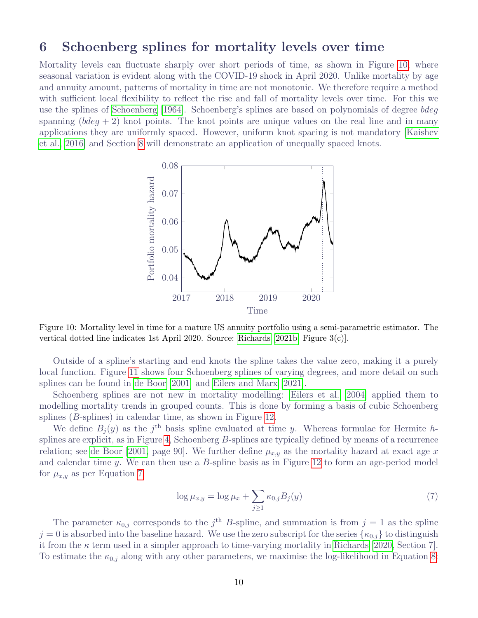#### 6 Schoenberg splines for mortality levels over time

<span id="page-11-0"></span>Mortality levels can fluctuate sharply over short periods of time, as shown in Figure [10,](#page-11-0) where seasonal variation is evident along with the COVID-19 shock in April 2020. Unlike mortality by age and annuity amount, patterns of mortality in time are not monotonic. We therefore require a method with sufficient local flexibility to reflect the rise and fall of mortality levels over time. For this we use the splines of [Schoenberg](#page-26-1) [\[1964\]](#page-26-1). Schoenberg's splines are based on polynomials of degree bdeg spanning  $(bdeq + 2)$  knot points. The knot points are unique values on the real line and in many applications they are uniformly spaced. However, uniform knot spacing is not mandatory [\[Kaishev](#page-25-8) [et al., 2016\]](#page-25-8) and Section [8](#page-15-0) will demonstrate an application of unequally spaced knots.



Figure 10: Mortality level in time for a mature US annuity portfolio using a semi-parametric estimator. The vertical dotted line indicates 1st April 2020. Source: [Richards](#page-25-2) [\[2021b,](#page-25-2) Figure 3(c)].

Outside of a spline's starting and end knots the spline takes the value zero, making it a purely local function. Figure [11](#page-12-0) shows four Schoenberg splines of varying degrees, and more detail on such splines can be found in [de Boor](#page-24-0) [\[2001\]](#page-24-0) and [Eilers and Marx](#page-24-1) [\[2021\]](#page-24-1).

Schoenberg splines are not new in mortality modelling: [Eilers et al.](#page-24-13) [\[2004\]](#page-24-13) applied them to modelling mortality trends in grouped counts. This is done by forming a basis of cubic Schoenberg splines (B-splines) in calendar time, as shown in Figure [12.](#page-12-1)

We define  $B_j(y)$  as the j<sup>th</sup> basis spline evaluated at time y. Whereas formulae for Hermite hsplines are explicit, as in Figure [4,](#page-5-2) Schoenberg B-splines are typically defined by means of a recurrence relation; see [de Boor](#page-24-0) [\[2001,](#page-24-0) page 90]. We further define  $\mu_{x,y}$  as the mortality hazard at exact age x and calendar time y. We can then use a B-spline basis as in Figure [12](#page-12-1) to form an age-period model for  $\mu_{x,y}$  as per Equation [7:](#page-11-1)

<span id="page-11-1"></span>
$$
\log \mu_{x,y} = \log \mu_x + \sum_{j \ge 1} \kappa_{0,j} B_j(y) \tag{7}
$$

The parameter  $\kappa_{0,j}$  corresponds to the j<sup>th</sup> B-spline, and summation is from  $j = 1$  as the spline  $j = 0$  is absorbed into the baseline hazard. We use the zero subscript for the series  $\{\kappa_{0,j}\}\)$  to distinguish it from the  $\kappa$  term used in a simpler approach to time-varying mortality in [Richards](#page-25-5) [\[2020,](#page-25-5) Section 7]. To estimate the  $\kappa_{0,i}$  along with any other parameters, we maximise the log-likelihood in Equation [8:](#page-13-0)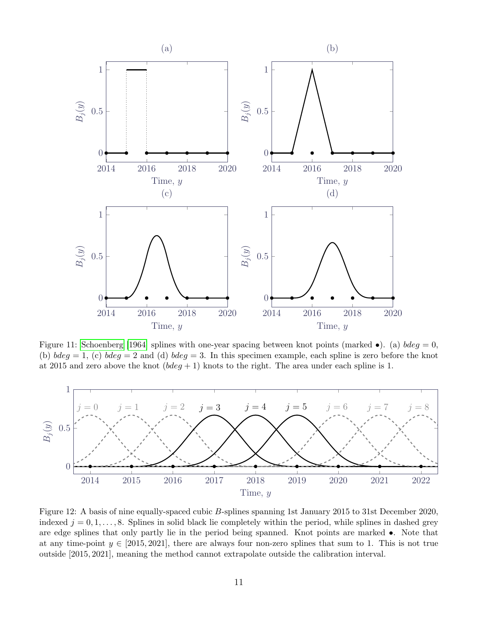<span id="page-12-0"></span>

Figure 11: [Schoenberg](#page-26-1) [\[1964\]](#page-26-1) splines with one-year spacing between knot points (marked  $\bullet$ ). (a) bdeg = 0, (b)  $bdeg = 1$ , (c)  $bdeg = 2$  and (d)  $bdeg = 3$ . In this specimen example, each spline is zero before the knot at 2015 and zero above the knot  $(bdeg + 1)$  knots to the right. The area under each spline is 1.

<span id="page-12-1"></span>

Figure 12: A basis of nine equally-spaced cubic B-splines spanning 1st January 2015 to 31st December 2020, indexed  $j = 0, 1, \ldots, 8$ . Splines in solid black lie completely within the period, while splines in dashed grey are edge splines that only partly lie in the period being spanned. Knot points are marked •. Note that at any time-point  $y \in [2015, 2021]$ , there are always four non-zero splines that sum to 1. This is not true outside [2015, 2021], meaning the method cannot extrapolate outside the calibration interval.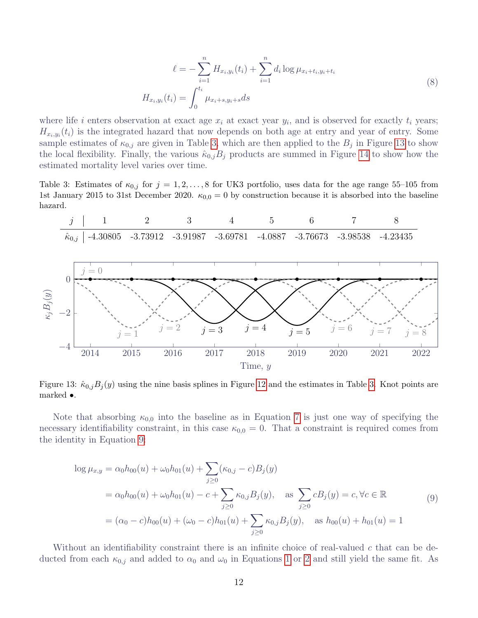$$
\ell = -\sum_{i=1}^{n} H_{x_i, y_i}(t_i) + \sum_{i=1}^{n} d_i \log \mu_{x_i + t_i, y_i + t_i}
$$
  

$$
H_{x_i, y_i}(t_i) = \int_0^{t_i} \mu_{x_i + s, y_i + s} ds
$$
 (8)

<span id="page-13-0"></span>where life i enters observation at exact age  $x_i$  at exact year  $y_i$ , and is observed for exactly  $t_i$  years;  $H_{x_i,y_i}(t_i)$  is the integrated hazard that now depends on both age at entry and year of entry. Some sample estimates of  $\kappa_{0,j}$  are given in Table [3,](#page-13-1) which are then applied to the  $B_j$  in Figure [13](#page-13-2) to show the local flexibility. Finally, the various  $\hat{\kappa}_{0,j}B_j$  products are summed in Figure [14](#page-14-1) to show how the estimated mortality level varies over time.

<span id="page-13-1"></span>Table 3: Estimates of  $\kappa_{0,j}$  for  $j = 1, 2, ..., 8$  for UK3 portfolio, uses data for the age range 55–105 from 1st January 2015 to 31st December 2020.  $\kappa_{0,0} = 0$  by construction because it is absorbed into the baseline hazard.

<span id="page-13-2"></span>

Figure 13:  $\hat{\kappa}_{0,j}B_j(y)$  using the nine basis splines in Figure [12](#page-12-1) and the estimates in Table [3.](#page-13-1) Knot points are marked •.

Note that absorbing  $\kappa_{0,0}$  into the baseline as in Equation [7](#page-11-1) is just one way of specifying the necessary identifiability constraint, in this case  $\kappa_{0,0} = 0$ . That a constraint is required comes from the identity in Equation [9:](#page-13-3)

<span id="page-13-3"></span>
$$
\log \mu_{x,y} = \alpha_0 h_{00}(u) + \omega_0 h_{01}(u) + \sum_{j \ge 0} (\kappa_{0,j} - c) B_j(y)
$$
  
=  $\alpha_0 h_{00}(u) + \omega_0 h_{01}(u) - c + \sum_{j \ge 0} \kappa_{0,j} B_j(y), \text{ as } \sum_{j \ge 0} c B_j(y) = c, \forall c \in \mathbb{R}$   
=  $(\alpha_0 - c) h_{00}(u) + (\omega_0 - c) h_{01}(u) + \sum_{j \ge 0} \kappa_{0,j} B_j(y), \text{ as } h_{00}(u) + h_{01}(u) = 1$  (9)

Without an identifiability constraint there is an infinite choice of real-valued  $c$  that can be deducted from each  $\kappa_{0,j}$  and added to  $\alpha_0$  and  $\omega_0$  in Equations [1](#page-6-1) or [2](#page-6-2) and still yield the same fit. As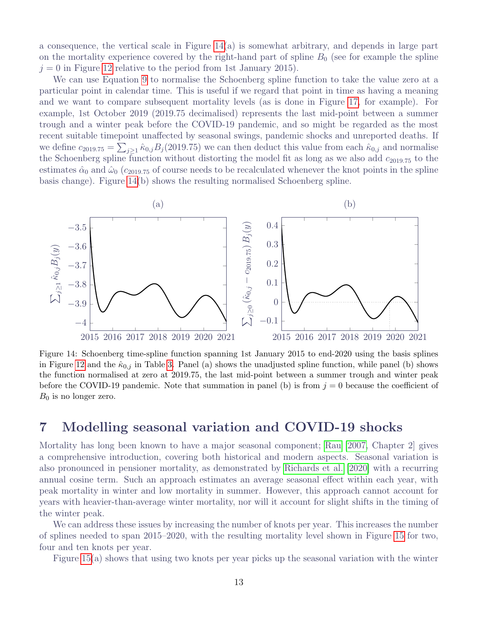a consequence, the vertical scale in Figure [14\(](#page-14-1)a) is somewhat arbitrary, and depends in large part on the mortality experience covered by the right-hand part of spline  $B_0$  (see for example the spline  $j = 0$  in Figure [12](#page-12-1) relative to the period from 1st January 2015).

We can use Equation [9](#page-13-3) to normalise the Schoenberg spline function to take the value zero at a particular point in calendar time. This is useful if we regard that point in time as having a meaning and we want to compare subsequent mortality levels (as is done in Figure [17,](#page-17-1) for example). For example, 1st October 2019 (2019.75 decimalised) represents the last mid-point between a summer trough and a winter peak before the COVID-19 pandemic, and so might be regarded as the most recent suitable timepoint unaffected by seasonal swings, pandemic shocks and unreported deaths. If we define  $c_{2019.75} = \sum_{j\geq 1} \hat{\kappa}_{0,j} B_j(2019.75)$  we can then deduct this value from each  $\hat{\kappa}_{0,j}$  and normalise the Schoenberg spline function without distorting the model fit as long as we also add  $c_{2019.75}$  to the estimates  $\hat{\alpha}_0$  and  $\hat{\omega}_0$  ( $c_{2019.75}$  of course needs to be recalculated whenever the knot points in the spline basis change). Figure [14\(](#page-14-1)b) shows the resulting normalised Schoenberg spline.

<span id="page-14-1"></span>

Figure 14: Schoenberg time-spline function spanning 1st January 2015 to end-2020 using the basis splines in Figure [12](#page-12-1) and the  $\hat{\kappa}_{0,j}$  in Table [3.](#page-13-1) Panel (a) shows the unadjusted spline function, while panel (b) shows the function normalised at zero at 2019.75, the last mid-point between a summer trough and winter peak before the COVID-19 pandemic. Note that summation in panel (b) is from  $j = 0$  because the coefficient of  $B_0$  is no longer zero.

## <span id="page-14-0"></span>7 Modelling seasonal variation and COVID-19 shocks

Mortality has long been known to have a major seasonal component; [Rau](#page-25-9) [\[2007,](#page-25-9) Chapter 2] gives a comprehensive introduction, covering both historical and modern aspects. Seasonal variation is also pronounced in pensioner mortality, as demonstrated by [Richards et al.](#page-25-10) [\[2020\]](#page-25-10) with a recurring annual cosine term. Such an approach estimates an average seasonal effect within each year, with peak mortality in winter and low mortality in summer. However, this approach cannot account for years with heavier-than-average winter mortality, nor will it account for slight shifts in the timing of the winter peak.

We can address these issues by increasing the number of knots per year. This increases the number of splines needed to span 2015–2020, with the resulting mortality level shown in Figure [15](#page-15-1) for two, four and ten knots per year.

Figure [15\(](#page-15-1)a) shows that using two knots per year picks up the seasonal variation with the winter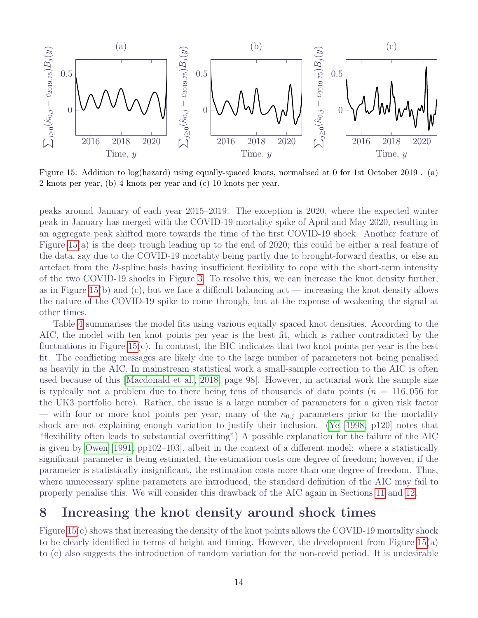<span id="page-15-1"></span>

Figure 15: Addition to log(hazard) using equally-spaced knots, normalised at 0 for 1st October 2019 . (a) 2 knots per year, (b) 4 knots per year and (c) 10 knots per year.

peaks around January of each year 2015–2019. The exception is 2020, where the expected winter peak in January has merged with the COVID-19 mortality spike of April and May 2020, resulting in an aggregate peak shifted more towards the time of the first COVID-19 shock. Another feature of Figure [15\(](#page-15-1)a) is the deep trough leading up to the end of 2020; this could be either a real feature of the data, say due to the COVID-19 mortality being partly due to brought-forward deaths, or else an artefact from the B-spline basis having insufficient flexibility to cope with the short-term intensity of the two COVID-19 shocks in Figure [3.](#page-4-1) To resolve this, we can increase the knot density further, as in Figure [15\(](#page-15-1)b) and (c), but we face a difficult balancing act — increasing the knot density allows the nature of the COVID-19 spike to come through, but at the expense of weakening the signal at other times.

Table [4](#page-16-0) summarises the model fits using various equally spaced knot densities. According to the AIC, the model with ten knot points per year is the best fit, which is rather contradicted by the fluctuations in Figure [15\(](#page-15-1)c). In contrast, the BIC indicates that two knot points per year is the best fit. The conflicting messages are likely due to the large number of parameters not being penalised as heavily in the AIC. In mainstream statistical work a small-sample correction to the AIC is often used because of this [\[Macdonald et al., 2018,](#page-25-3) page 98]. However, in actuarial work the sample size is typically not a problem due to there being tens of thousands of data points ( $n = 116,056$  for the UK3 portfolio here). Rather, the issue is a large number of parameters for a given risk factor — with four or more knot points per year, many of the  $\kappa_{0,j}$  parameters prior to the mortality shock are not explaining enough variation to justify their inclusion. [\(Ye](#page-26-5) [\[1998,](#page-26-5) p120] notes that "flexibility often leads to substantial overfitting") A possible explanation for the failure of the AIC is given by [Owen](#page-25-11) [\[1991,](#page-25-11) pp102–103], albeit in the context of a different model: where a statistically significant parameter is being estimated, the estimation costs one degree of freedom; however, if the parameter is statistically insignificant, the estimation costs more than one degree of freedom. Thus, where unnecessary spline parameters are introduced, the standard definition of the AIC may fail to properly penalise this. We will consider this drawback of the AIC again in Sections [11](#page-19-0) and [12.](#page-20-0)

## <span id="page-15-0"></span>8 Increasing the knot density around shock times

Figure [15\(](#page-15-1)c) shows that increasing the density of the knot points allows the COVID-19 mortality shock to be clearly identified in terms of height and timing. However, the development from Figure [15\(](#page-15-1)a) to (c) also suggests the introduction of random variation for the non-covid period. It is undesirable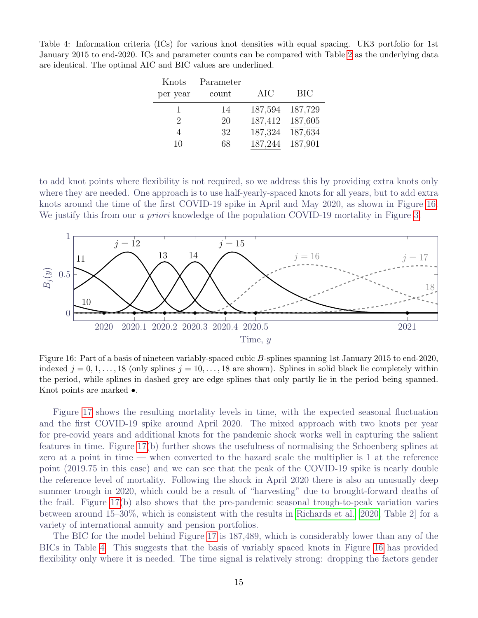<span id="page-16-0"></span>Table 4: Information criteria (ICs) for various knot densities with equal spacing. UK3 portfolio for 1st January 2015 to end-2020. ICs and parameter counts can be compared with Table [2](#page-10-2) as the underlying data are identical. The optimal AIC and BIC values are underlined.

| <b>BIC</b> |
|------------|
| 187,729    |
| 187,605    |
| 187,634    |
| 187,901    |
|            |

to add knot points where flexibility is not required, so we address this by providing extra knots only where they are needed. One approach is to use half-yearly-spaced knots for all years, but to add extra knots around the time of the first COVID-19 spike in April and May 2020, as shown in Figure [16.](#page-16-1) We justify this from our *a priori* knowledge of the population COVID-19 mortality in Figure [3.](#page-4-1)

<span id="page-16-1"></span>

Figure 16: Part of a basis of nineteen variably-spaced cubic B-splines spanning 1st January 2015 to end-2020, indexed  $j = 0, 1, \ldots, 18$  (only splines  $j = 10, \ldots, 18$  are shown). Splines in solid black lie completely within the period, while splines in dashed grey are edge splines that only partly lie in the period being spanned. Knot points are marked •.

Figure [17](#page-17-1) shows the resulting mortality levels in time, with the expected seasonal fluctuation and the first COVID-19 spike around April 2020. The mixed approach with two knots per year for pre-covid years and additional knots for the pandemic shock works well in capturing the salient features in time. Figure [17\(](#page-17-1)b) further shows the usefulness of normalising the Schoenberg splines at zero at a point in time — when converted to the hazard scale the multiplier is 1 at the reference point (2019.75 in this case) and we can see that the peak of the COVID-19 spike is nearly double the reference level of mortality. Following the shock in April 2020 there is also an unusually deep summer trough in 2020, which could be a result of "harvesting" due to brought-forward deaths of the frail. Figure [17\(](#page-17-1)b) also shows that the pre-pandemic seasonal trough-to-peak variation varies between around 15–30%, which is consistent with the results in [Richards et al.](#page-25-10) [\[2020,](#page-25-10) Table 2] for a variety of international annuity and pension portfolios.

The BIC for the model behind Figure [17](#page-17-1) is 187,489, which is considerably lower than any of the BICs in Table [4.](#page-16-0) This suggests that the basis of variably spaced knots in Figure [16](#page-16-1) has provided flexibility only where it is needed. The time signal is relatively strong: dropping the factors gender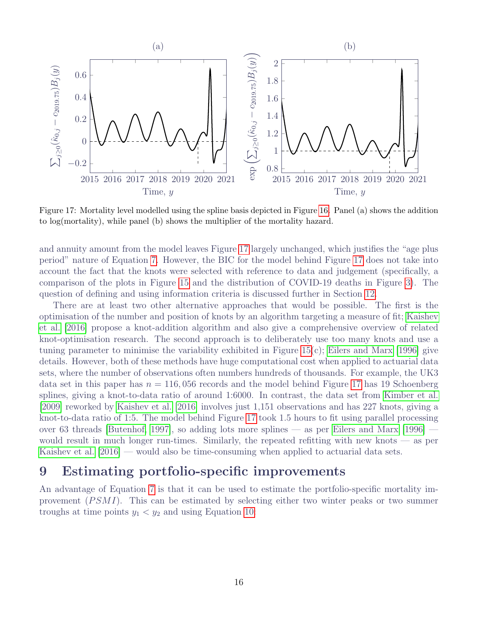<span id="page-17-1"></span>

Figure 17: Mortality level modelled using the spline basis depicted in Figure [16.](#page-16-1) Panel (a) shows the addition to log(mortality), while panel (b) shows the multiplier of the mortality hazard.

and annuity amount from the model leaves Figure [17](#page-17-1) largely unchanged, which justifies the "age plus period" nature of Equation [7.](#page-11-1) However, the BIC for the model behind Figure [17](#page-17-1) does not take into account the fact that the knots were selected with reference to data and judgement (specifically, a comparison of the plots in Figure [15](#page-15-1) and the distribution of COVID-19 deaths in Figure [3\)](#page-4-1). The question of defining and using information criteria is discussed further in Section [12.](#page-20-0)

There are at least two other alternative approaches that would be possible. The first is the optimisation of the number and position of knots by an algorithm targeting a measure of fit; [Kaishev](#page-25-8) [et al.](#page-25-8) [\[2016\]](#page-25-8) propose a knot-addition algorithm and also give a comprehensive overview of related knot-optimisation research. The second approach is to deliberately use too many knots and use a tuning parameter to minimise the variability exhibited in Figure 15 $(c)$ ; [Eilers and Marx](#page-24-14) [\[1996\]](#page-24-14) give details. However, both of these methods have huge computational cost when applied to actuarial data sets, where the number of observations often numbers hundreds of thousands. For example, the UK3 data set in this paper has  $n = 116,056$  records and the model behind Figure [17](#page-17-1) has 19 Schoenberg splines, giving a knot-to-data ratio of around 1:6000. In contrast, the data set from [Kimber et al.](#page-25-12) [\[2009\]](#page-25-12) reworked by [Kaishev et al.](#page-25-8) [\[2016\]](#page-25-8) involves just 1,151 observations and has 227 knots, giving a knot-to-data ratio of 1:5. The model behind Figure [17](#page-17-1) took 1.5 hours to fit using parallel processing over 63 threads [\[Butenhof, 1997\]](#page-24-15), so adding lots more splines — as per [Eilers and Marx](#page-24-14) [\[1996\]](#page-24-14) would result in much longer run-times. Similarly, the repeated refitting with new knots  $\sim$  as per [Kaishev et al.](#page-25-8) [\[2016\]](#page-25-8) — would also be time-consuming when applied to actuarial data sets.

#### <span id="page-17-0"></span>9 Estimating portfolio-specific improvements

An advantage of Equation [7](#page-11-1) is that it can be used to estimate the portfolio-specific mortality improvement  $(PSMI)$ . This can be estimated by selecting either two winter peaks or two summer troughs at time points  $y_1 < y_2$  and using Equation [10:](#page-18-1)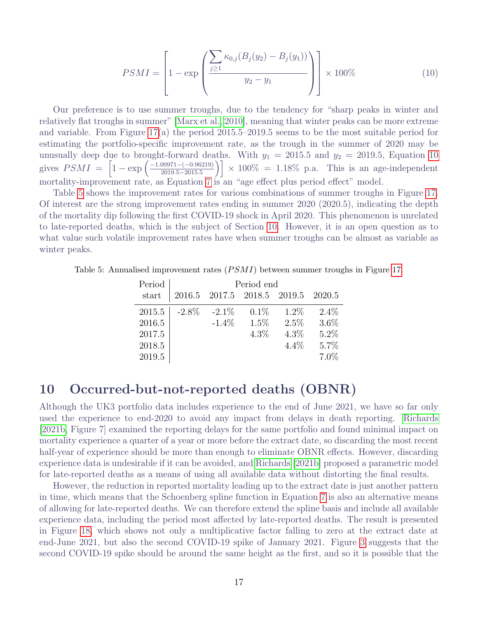<span id="page-18-1"></span>
$$
PSMI = \left[1 - \exp\left(\frac{\sum_{j\geq 1} \kappa_{0,j}(B_j(y_2) - B_j(y_1))}{y_2 - y_1}\right)\right] \times 100\%
$$
\n(10)

Our preference is to use summer troughs, due to the tendency for "sharp peaks in winter and relatively flat troughs in summer" [\[Marx et al., 2010\]](#page-25-13), meaning that winter peaks can be more extreme and variable. From Figure [17\(](#page-17-1)a) the period 2015.5–2019.5 seems to be the most suitable period for estimating the portfolio-specific improvement rate, as the trough in the summer of 2020 may be unusually deep due to brought-forward deaths. With  $y_1 = 2015.5$  and  $y_2 = 2019.5$ , Equation [10](#page-18-1) gives  $PSMI = \left[1 - \exp \left( \frac{-1.00971 - (-0.96219)}{2019.5 - 2015.5} \right) \right]$  $\left[\frac{200971 - (-0.96219)}{2019.5 - 2015.5}\right] \times 100\% = 1.18\%$  p.a. This is an age-independent mortality-improvement rate, as Equation [7](#page-11-1) is an "age effect plus period effect" model.

Table [5](#page-18-2) shows the improvement rates for various combinations of summer troughs in Figure [17.](#page-17-1) Of interest are the strong improvement rates ending in summer 2020 (2020.5), indicating the depth of the mortality dip following the first COVID-19 shock in April 2020. This phenomenon is unrelated to late-reported deaths, which is the subject of Section [10.](#page-18-0) However, it is an open question as to what value such volatile improvement rates have when summer troughs can be almost as variable as winter peaks.

<span id="page-18-2"></span>Table 5: Annualised improvement rates  $(PSMI)$  between summer troughs in Figure [17.](#page-17-1)

| Period | Period end |          |                                    |         |         |  |  |
|--------|------------|----------|------------------------------------|---------|---------|--|--|
| start  |            |          | 2016.5 2017.5 2018.5 2019.5 2020.5 |         |         |  |  |
| 2015.5 | $-2.8\%$   | $-2.1\%$ | $0.1\%$                            | $1.2\%$ | $2.4\%$ |  |  |
| 2016.5 |            | $-1.4\%$ | $1.5\%$                            | 2.5%    | $3.6\%$ |  |  |
| 2017.5 |            |          | $4.3\%$                            | $4.3\%$ | $5.2\%$ |  |  |
| 2018.5 |            |          |                                    | $4.4\%$ | $5.7\%$ |  |  |
| 2019.5 |            |          |                                    |         | 7.0%    |  |  |

#### <span id="page-18-0"></span>10 Occurred-but-not-reported deaths (OBNR)

Although the UK3 portfolio data includes experience to the end of June 2021, we have so far only used the experience to end-2020 to avoid any impact from delays in death reporting. [Richards](#page-25-2) [\[2021b,](#page-25-2) Figure 7] examined the reporting delays for the same portfolio and found minimal impact on mortality experience a quarter of a year or more before the extract date, so discarding the most recent half-year of experience should be more than enough to eliminate OBNR effects. However, discarding experience data is undesirable if it can be avoided, and [Richards](#page-25-2) [\[2021b\]](#page-25-2) proposed a parametric model for late-reported deaths as a means of using all available data without distorting the final results.

However, the reduction in reported mortality leading up to the extract date is just another pattern in time, which means that the Schoenberg spline function in Equation [7](#page-11-1) is also an alternative means of allowing for late-reported deaths. We can therefore extend the spline basis and include all available experience data, including the period most affected by late-reported deaths. The result is presented in Figure [18,](#page-19-1) which shows not only a multiplicative factor falling to zero at the extract date at end-June 2021, but also the second COVID-19 spike of January 2021. Figure [3](#page-4-1) suggests that the second COVID-19 spike should be around the same height as the first, and so it is possible that the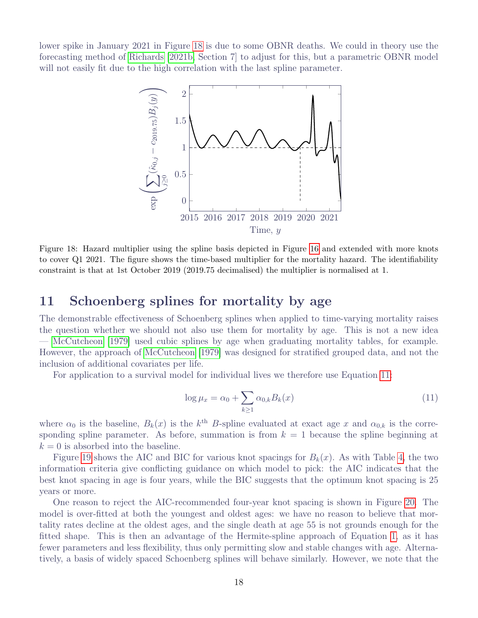<span id="page-19-1"></span>lower spike in January 2021 in Figure [18](#page-19-1) is due to some OBNR deaths. We could in theory use the forecasting method of [Richards](#page-25-2) [\[2021b,](#page-25-2) Section 7] to adjust for this, but a parametric OBNR model will not easily fit due to the high correlation with the last spline parameter.



Figure 18: Hazard multiplier using the spline basis depicted in Figure [16](#page-16-1) and extended with more knots to cover Q1 2021. The figure shows the time-based multiplier for the mortality hazard. The identifiability constraint is that at 1st October 2019 (2019.75 decimalised) the multiplier is normalised at 1.

#### <span id="page-19-0"></span>11 Schoenberg splines for mortality by age

The demonstrable effectiveness of Schoenberg splines when applied to time-varying mortality raises the question whether we should not also use them for mortality by age. This is not a new idea — [McCutcheon](#page-25-14) [\[1979\]](#page-25-14) used cubic splines by age when graduating mortality tables, for example. However, the approach of [McCutcheon](#page-25-14) [\[1979\]](#page-25-14) was designed for stratified grouped data, and not the inclusion of additional covariates per life.

For application to a survival model for individual lives we therefore use Equation [11:](#page-19-2)

<span id="page-19-2"></span>
$$
\log \mu_x = \alpha_0 + \sum_{k \ge 1} \alpha_{0,k} B_k(x) \tag{11}
$$

where  $\alpha_0$  is the baseline,  $B_k(x)$  is the k<sup>th</sup> B-spline evaluated at exact age x and  $\alpha_{0,k}$  is the corresponding spline parameter. As before, summation is from  $k = 1$  because the spline beginning at  $k = 0$  is absorbed into the baseline.

Figure [19](#page-20-1) shows the AIC and BIC for various knot spacings for  $B_k(x)$ . As with Table [4,](#page-16-0) the two information criteria give conflicting guidance on which model to pick: the AIC indicates that the best knot spacing in age is four years, while the BIC suggests that the optimum knot spacing is 25 years or more.

One reason to reject the AIC-recommended four-year knot spacing is shown in Figure [20.](#page-20-2) The model is over-fitted at both the youngest and oldest ages: we have no reason to believe that mortality rates decline at the oldest ages, and the single death at age 55 is not grounds enough for the fitted shape. This is then an advantage of the Hermite-spline approach of Equation [1,](#page-6-1) as it has fewer parameters and less flexibility, thus only permitting slow and stable changes with age. Alternatively, a basis of widely spaced Schoenberg splines will behave similarly. However, we note that the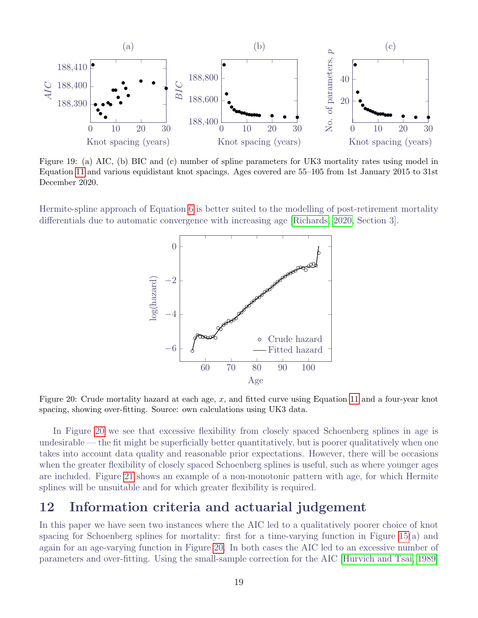<span id="page-20-1"></span>

Figure 19: (a) AIC, (b) BIC and (c) number of spline parameters for UK3 mortality rates using model in Equation [11](#page-19-2) and various equidistant knot spacings. Ages covered are 55–105 from 1st January 2015 to 31st December 2020.

<span id="page-20-2"></span>Hermite-spline approach of Equation [6](#page-8-2) is better suited to the modelling of post-retirement mortality differentials due to automatic convergence with increasing age [\[Richards, 2020,](#page-25-5) Section 3].



Figure 20: Crude mortality hazard at each age,  $x$ , and fitted curve using Equation [11](#page-19-2) and a four-year knot spacing, showing over-fitting. Source: own calculations using UK3 data.

In Figure [20](#page-20-2) we see that excessive flexibility from closely spaced Schoenberg splines in age is undesirable — the fit might be superficially better quantitatively, but is poorer qualitatively when one takes into account data quality and reasonable prior expectations. However, there will be occasions when the greater flexibility of closely spaced Schoenberg splines is useful, such as where younger ages are included. Figure [21](#page-21-0) shows an example of a non-monotonic pattern with age, for which Hermite splines will be unsuitable and for which greater flexibility is required.

## <span id="page-20-0"></span>12 Information criteria and actuarial judgement

In this paper we have seen two instances where the AIC led to a qualitatively poorer choice of knot spacing for Schoenberg splines for mortality: first for a time-varying function in Figure [15\(](#page-15-1)a) and again for an age-varying function in Figure [20.](#page-20-2) In both cases the AIC led to an excessive number of parameters and over-fitting. Using the small-sample correction for the AIC [\[Hurvich and Tsai, 1989\]](#page-24-16)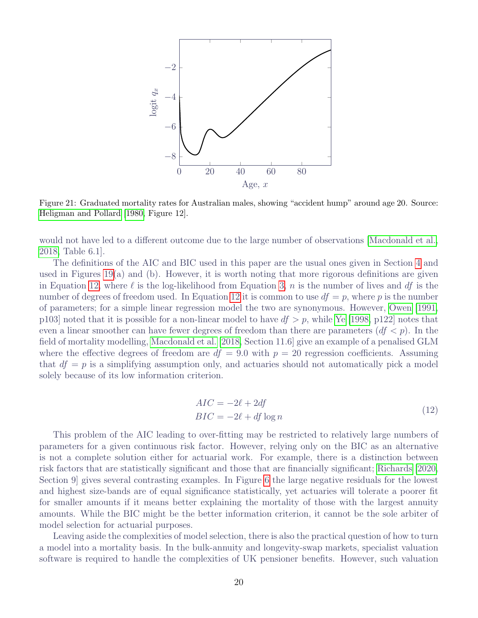<span id="page-21-0"></span>

Figure 21: Graduated mortality rates for Australian males, showing "accident hump" around age 20. Source: [Heligman and Pollard](#page-24-17) [\[1980,](#page-24-17) Figure 12].

would not have led to a different outcome due to the large number of observations [\[Macdonald et al.,](#page-25-3) [2018,](#page-25-3) Table 6.1].

The definitions of the AIC and BIC used in this paper are the usual ones given in Section [4](#page-5-1) and used in Figures [19\(](#page-20-1)a) and (b). However, it is worth noting that more rigorous definitions are given in Equation [12,](#page-21-1) where  $\ell$  is the log-likelihood from Equation [3,](#page-6-3) n is the number of lives and df is the number of degrees of freedom used. In Equation [12](#page-21-1) it is common to use  $df = p$ , where p is the number of parameters; for a simple linear regression model the two are synonymous. However, [Owen](#page-25-11) [\[1991,](#page-25-11) p103] noted that it is possible for a non-linear model to have  $df > p$ , while [Ye](#page-26-5) [\[1998,](#page-26-5) p122] notes that even a linear smoother can have fewer degrees of freedom than there are parameters  $(df < p)$ . In the field of mortality modelling, [Macdonald et al.](#page-25-3) [\[2018,](#page-25-3) Section 11.6] give an example of a penalised GLM where the effective degrees of freedom are  $df = 9.0$  with  $p = 20$  regression coefficients. Assuming that  $df = p$  is a simplifying assumption only, and actuaries should not automatically pick a model solely because of its low information criterion.

$$
AIC = -2\ell + 2df
$$
  

$$
BIC = -2\ell + df \log n
$$
 (12)

<span id="page-21-1"></span>This problem of the AIC leading to over-fitting may be restricted to relatively large numbers of parameters for a given continuous risk factor. However, relying only on the BIC as an alternative is not a complete solution either for actuarial work. For example, there is a distinction between risk factors that are statistically significant and those that are financially significant; [Richards](#page-25-5) [\[2020,](#page-25-5) Section 9] gives several contrasting examples. In Figure [6](#page-8-0) the large negative residuals for the lowest and highest size-bands are of equal significance statistically, yet actuaries will tolerate a poorer fit for smaller amounts if it means better explaining the mortality of those with the largest annuity amounts. While the BIC might be the better information criterion, it cannot be the sole arbiter of model selection for actuarial purposes.

Leaving aside the complexities of model selection, there is also the practical question of how to turn a model into a mortality basis. In the bulk-annuity and longevity-swap markets, specialist valuation software is required to handle the complexities of UK pensioner benefits. However, such valuation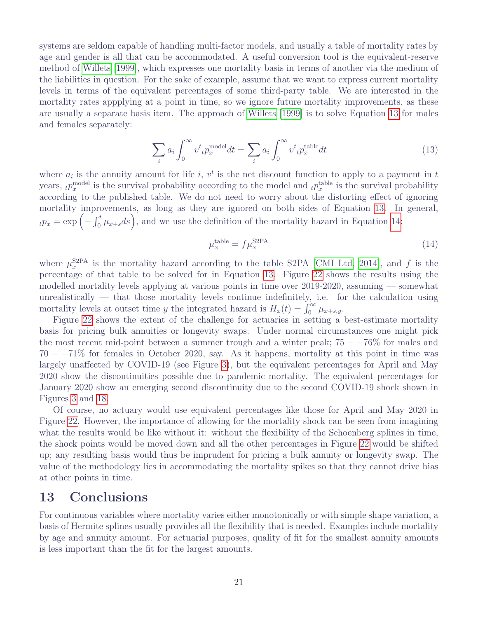systems are seldom capable of handling multi-factor models, and usually a table of mortality rates by age and gender is all that can be accommodated. A useful conversion tool is the equivalent-reserve method of [Willets](#page-26-6) [\[1999\]](#page-26-6), which expresses one mortality basis in terms of another via the medium of the liabilities in question. For the sake of example, assume that we want to express current mortality levels in terms of the equivalent percentages of some third-party table. We are interested in the mortality rates appplying at a point in time, so we ignore future mortality improvements, as these are usually a separate basis item. The approach of [Willets](#page-26-6) [\[1999\]](#page-26-6) is to solve Equation [13](#page-22-1) for males and females separately:

<span id="page-22-1"></span>
$$
\sum_{i} a_i \int_0^\infty v^t{}_t p_x^{\text{model}} dt = \sum_i a_i \int_0^\infty v^t{}_t p_x^{\text{table}} dt \tag{13}
$$

where  $a_i$  is the annuity amount for life i,  $v^t$  is the net discount function to apply to a payment in t years,  ${}_tp_x^{\text{model}}$  is the survival probability according to the model and  ${}_tp_x^{\text{table}}$  is the survival probability according to the published table. We do not need to worry about the distorting effect of ignoring mortality improvements, as long as they are ignored on both sides of Equation [13.](#page-22-1) In general,  $_{t}p_{x} = \exp\left(-\int_{0}^{t} \mu_{x+s} ds\right)$ , and we use the definition of the mortality hazard in Equation [14:](#page-22-2)

<span id="page-22-2"></span>
$$
\mu_x^{\text{table}} = f \mu_x^{\text{S2PA}} \tag{14}
$$

where  $\mu_x^{\text{S2PA}}$  is the mortality hazard according to the table S2PA [\[CMI Ltd, 2014\]](#page-24-18), and f is the percentage of that table to be solved for in Equation [13.](#page-22-1) Figure [22](#page-23-1) shows the results using the modelled mortality levels applying at various points in time over 2019-2020, assuming — somewhat unrealistically  $-$  that those mortality levels continue indefinitely, i.e. for the calculation using mortality levels at outset time y the integrated hazard is  $H_x(t) = \int_0^\infty \mu_{x+s,y}$ .

Figure [22](#page-23-1) shows the extent of the challenge for actuaries in setting a best-estimate mortality basis for pricing bulk annuities or longevity swaps. Under normal circumstances one might pick the most recent mid-point between a summer trough and a winter peak;  $75 - -76\%$  for males and  $70 - -71\%$  for females in October 2020, say. As it happens, mortality at this point in time was largely unaffected by COVID-19 (see Figure [3\)](#page-4-1), but the equivalent percentages for April and May 2020 show the discontinuities possible due to pandemic mortality. The equivalent percentages for January 2020 show an emerging second discontinuity due to the second COVID-19 shock shown in Figures [3](#page-4-1) and [18.](#page-19-1)

Of course, no actuary would use equivalent percentages like those for April and May 2020 in Figure [22.](#page-23-1) However, the importance of allowing for the mortality shock can be seen from imagining what the results would be like without it: without the flexibility of the Schoenberg splines in time, the shock points would be moved down and all the other percentages in Figure [22](#page-23-1) would be shifted up; any resulting basis would thus be imprudent for pricing a bulk annuity or longevity swap. The value of the methodology lies in accommodating the mortality spikes so that they cannot drive bias at other points in time.

#### <span id="page-22-0"></span>13 Conclusions

For continuous variables where mortality varies either monotonically or with simple shape variation, a basis of Hermite splines usually provides all the flexibility that is needed. Examples include mortality by age and annuity amount. For actuarial purposes, quality of fit for the smallest annuity amounts is less important than the fit for the largest amounts.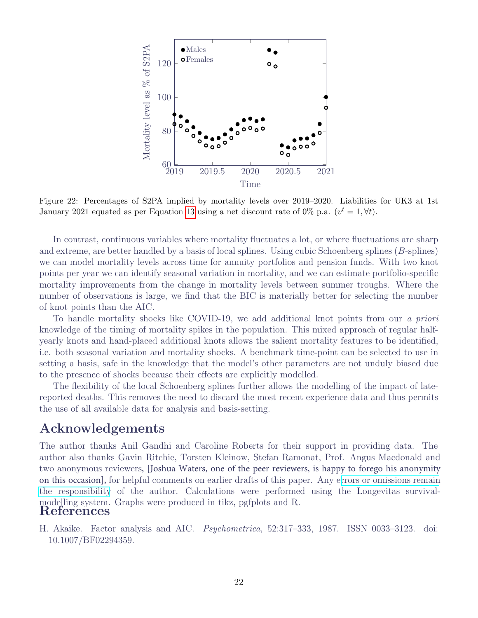<span id="page-23-1"></span>

Figure 22: Percentages of S2PA implied by mortality levels over 2019–2020. Liabilities for UK3 at 1st January 2021 equated as per Equation [13](#page-22-1) using a net discount rate of 0% p.a.  $(v^t = 1, \forall t)$ .

In contrast, continuous variables where mortality fluctuates a lot, or where fluctuations are sharp and extreme, are better handled by a basis of local splines. Using cubic Schoenberg splines (B-splines) we can model mortality levels across time for annuity portfolios and pension funds. With two knot points per year we can identify seasonal variation in mortality, and we can estimate portfolio-specific mortality improvements from the change in mortality levels between summer troughs. Where the number of observations is large, we find that the BIC is materially better for selecting the number of knot points than the AIC.

To handle mortality shocks like COVID-19, we add additional knot points from our a priori knowledge of the timing of mortality spikes in the population. This mixed approach of regular halfyearly knots and hand-placed additional knots allows the salient mortality features to be identified, i.e. both seasonal variation and mortality shocks. A benchmark time-point can be selected to use in setting a basis, safe in the knowledge that the model's other parameters are not unduly biased due to the presence of shocks because their effects are explicitly modelled.

The flexibility of the local Schoenberg splines further allows the modelling of the impact of latereported deaths. This removes the need to discard the most recent experience data and thus permits the use of all available data for analysis and basis-setting.

#### Acknowledgements

The author thanks Anil Gandhi and Caroline Roberts for their support in providing data. The author also thanks Gavin Ritchie, Torsten Kleinow, Stefan Ramonat, Prof. Angus Macdonald and two anonymous reviewers, [Joshua Waters, one of the peer reviewers, is happy to forego his anonymity on this occasion], for helpful comments on earlier drafts of this paper. Any errors or [omissions](https://www.longevitas.co.uk/site/ourservices/survivalmodelling/) remain the [responsibility](https://www.longevitas.co.uk/site/ourservices/survivalmodelling/) of the author. Calculations were performed using the Longevitas survivalmodelling system. Graphs were produced in tikz, pgfplots and R. References

<span id="page-23-0"></span>H. Akaike. Factor analysis and AIC. Psychometrica, 52:317–333, 1987. ISSN 0033–3123. doi: 10.1007/BF02294359.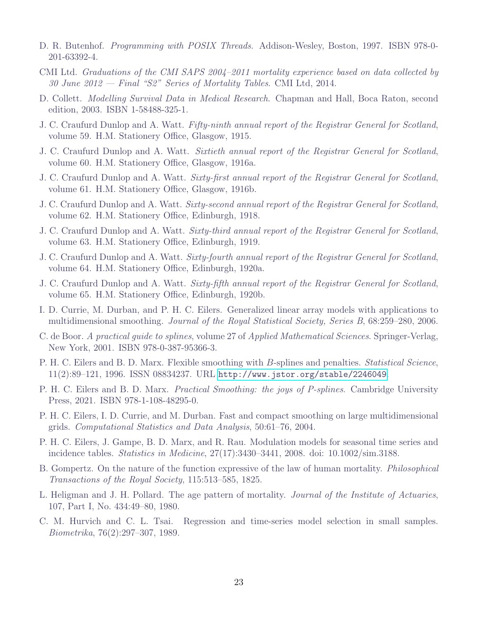- <span id="page-24-15"></span>D. R. Butenhof. Programming with POSIX Threads. Addison-Wesley, Boston, 1997. ISBN 978-0- 201-63392-4.
- <span id="page-24-18"></span>CMI Ltd. Graduations of the CMI SAPS 2004–2011 mortality experience based on data collected by 30 June 2012 — Final "S2" Series of Mortality Tables. CMI Ltd, 2014.
- <span id="page-24-12"></span>D. Collett. Modelling Survival Data in Medical Research. Chapman and Hall, Boca Raton, second edition, 2003. ISBN 1-58488-325-1.
- <span id="page-24-4"></span>J. C. Craufurd Dunlop and A. Watt. Fifty-ninth annual report of the Registrar General for Scotland, volume 59. H.M. Stationery Office, Glasgow, 1915.
- <span id="page-24-5"></span>J. C. Craufurd Dunlop and A. Watt. Sixtieth annual report of the Registrar General for Scotland, volume 60. H.M. Stationery Office, Glasgow, 1916a.
- <span id="page-24-6"></span>J. C. Craufurd Dunlop and A. Watt. Sixty-first annual report of the Registrar General for Scotland, volume 61. H.M. Stationery Office, Glasgow, 1916b.
- <span id="page-24-7"></span>J. C. Craufurd Dunlop and A. Watt. Sixty-second annual report of the Registrar General for Scotland, volume 62. H.M. Stationery Office, Edinburgh, 1918.
- <span id="page-24-8"></span>J. C. Craufurd Dunlop and A. Watt. Sixty-third annual report of the Registrar General for Scotland, volume 63. H.M. Stationery Office, Edinburgh, 1919.
- <span id="page-24-9"></span>J. C. Craufurd Dunlop and A. Watt. Sixty-fourth annual report of the Registrar General for Scotland, volume 64. H.M. Stationery Office, Edinburgh, 1920a.
- <span id="page-24-10"></span>J. C. Craufurd Dunlop and A. Watt. Sixty-fifth annual report of the Registrar General for Scotland, volume 65. H.M. Stationery Office, Edinburgh, 1920b.
- <span id="page-24-2"></span>I. D. Currie, M. Durban, and P. H. C. Eilers. Generalized linear array models with applications to multidimensional smoothing. Journal of the Royal Statistical Society, Series B, 68:259–280, 2006.
- <span id="page-24-0"></span>C. de Boor. A practical guide to splines, volume 27 of Applied Mathematical Sciences. Springer-Verlag, New York, 2001. ISBN 978-0-387-95366-3.
- <span id="page-24-14"></span>P. H. C. Eilers and B. D. Marx. Flexible smoothing with B-splines and penalties. *Statistical Science*, 11(2):89–121, 1996. ISSN 08834237. URL <http://www.jstor.org/stable/2246049>.
- <span id="page-24-1"></span>P. H. C. Eilers and B. D. Marx. *Practical Smoothing: the joys of P-splines*. Cambridge University Press, 2021. ISBN 978-1-108-48295-0.
- <span id="page-24-13"></span>P. H. C. Eilers, I. D. Currie, and M. Durban. Fast and compact smoothing on large multidimensional grids. Computational Statistics and Data Analysis, 50:61–76, 2004.
- <span id="page-24-3"></span>P. H. C. Eilers, J. Gampe, B. D. Marx, and R. Rau. Modulation models for seasonal time series and incidence tables. Statistics in Medicine, 27(17):3430–3441, 2008. doi: 10.1002/sim.3188.
- <span id="page-24-11"></span>B. Gompertz. On the nature of the function expressive of the law of human mortality. Philosophical Transactions of the Royal Society, 115:513–585, 1825.
- <span id="page-24-17"></span>L. Heligman and J. H. Pollard. The age pattern of mortality. *Journal of the Institute of Actuaries*, 107, Part I, No. 434:49–80, 1980.
- <span id="page-24-16"></span>C. M. Hurvich and C. L. Tsai. Regression and time-series model selection in small samples. Biometrika, 76(2):297–307, 1989.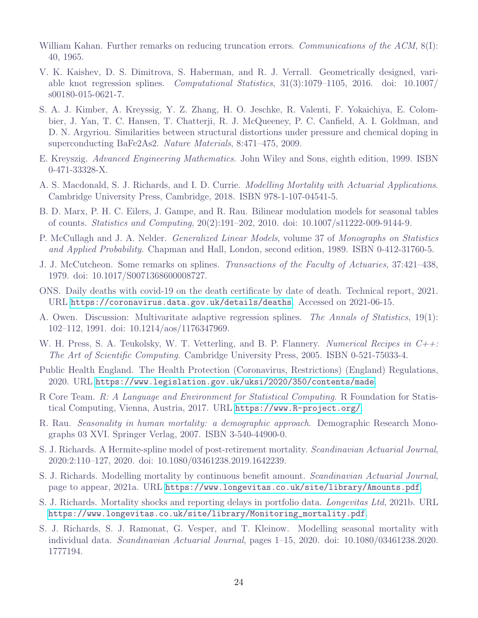- <span id="page-25-15"></span>William Kahan. Further remarks on reducing truncation errors. Communications of the ACM, 8(I): 40, 1965.
- <span id="page-25-8"></span>V. K. Kaishev, D. S. Dimitrova, S. Haberman, and R. J. Verrall. Geometrically designed, variable knot regression splines. Computational Statistics, 31(3):1079–1105, 2016. doi: 10.1007/ s00180-015-0621-7.
- <span id="page-25-12"></span>S. A. J. Kimber, A. Kreyssig, Y. Z. Zhang, H. O. Jeschke, R. Valenti, F. Yokaichiya, E. Colombier, J. Yan, T. C. Hansen, T. Chatterji, R. J. McQueeney, P. C. Canfield, A. I. Goldman, and D. N. Argyriou. Similarities between structural distortions under pressure and chemical doping in superconducting BaFe2As2. Nature Materials, 8:471–475, 2009.
- <span id="page-25-4"></span>E. Kreyszig. Advanced Engineering Mathematics. John Wiley and Sons, eighth edition, 1999. ISBN 0-471-33328-X.
- <span id="page-25-3"></span>A. S. Macdonald, S. J. Richards, and I. D. Currie. Modelling Mortality with Actuarial Applications. Cambridge University Press, Cambridge, 2018. ISBN 978-1-107-04541-5.
- <span id="page-25-13"></span>B. D. Marx, P. H. C. Eilers, J. Gampe, and R. Rau. Bilinear modulation models for seasonal tables of counts. Statistics and Computing, 20(2):191–202, 2010. doi: 10.1007/s11222-009-9144-9.
- <span id="page-25-6"></span>P. McCullagh and J. A. Nelder. Generalized Linear Models, volume 37 of Monographs on Statistics and Applied Probability. Chapman and Hall, London, second edition, 1989. ISBN 0-412-31760-5.
- <span id="page-25-14"></span>J. J. McCutcheon. Some remarks on splines. Transactions of the Faculty of Actuaries, 37:421–438, 1979. doi: 10.1017/S0071368600008727.
- <span id="page-25-1"></span>ONS. Daily deaths with covid-19 on the death certificate by date of death. Technical report, 2021. URL <https://coronavirus.data.gov.uk/details/deaths>. Accessed on 2021-06-15.
- <span id="page-25-11"></span>A. Owen. Discussion: Multivaritate adaptive regression splines. The Annals of Statistics, 19(1): 102–112, 1991. doi: 10.1214/aos/1176347969.
- <span id="page-25-17"></span>W. H. Press, S. A. Teukolsky, W. T. Vetterling, and B. P. Flannery. Numerical Recipes in  $C_{++}$ : The Art of Scientific Computing. Cambridge University Press, 2005. ISBN 0-521-75033-4.
- <span id="page-25-0"></span>Public Health England. The Health Protection (Coronavirus, Restrictions) (England) Regulations, 2020. URL <https://www.legislation.gov.uk/uksi/2020/350/contents/made>.
- <span id="page-25-16"></span>R Core Team. R: A Language and Environment for Statistical Computing. R Foundation for Statistical Computing, Vienna, Austria, 2017. URL <https://www.R-project.org/>.
- <span id="page-25-9"></span>R. Rau. Seasonality in human mortality: a demographic approach. Demographic Research Monographs 03 XVI. Springer Verlag, 2007. ISBN 3-540-44900-0.
- <span id="page-25-5"></span>S. J. Richards. A Hermite-spline model of post-retirement mortality. Scandinavian Actuarial Journal, 2020:2:110–127, 2020. doi: 10.1080/03461238.2019.1642239.
- <span id="page-25-7"></span>S. J. Richards. Modelling mortality by continuous benefit amount. Scandinavian Actuarial Journal, page to appear, 2021a. URL <https://www.longevitas.co.uk/site/library/Amounts.pdf>.
- <span id="page-25-2"></span>S. J. Richards. Mortality shocks and reporting delays in portfolio data. Longevitas Ltd, 2021b. URL [https://www.longevitas.co.uk/site/library/Monitoring\\_mortality.pdf](https://www.longevitas.co.uk/site/library/Monitoring_mortality.pdf).
- <span id="page-25-10"></span>S. J. Richards, S. J. Ramonat, G. Vesper, and T. Kleinow. Modelling seasonal mortality with individual data. Scandinavian Actuarial Journal, pages 1–15, 2020. doi: 10.1080/03461238.2020. 1777194.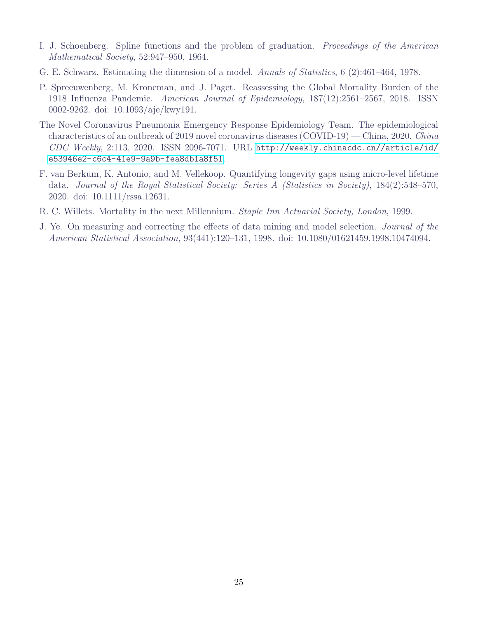- <span id="page-26-1"></span>I. J. Schoenberg. Spline functions and the problem of graduation. Proceedings of the American Mathematical Society, 52:947–950, 1964.
- <span id="page-26-3"></span>G. E. Schwarz. Estimating the dimension of a model. Annals of Statistics, 6 (2):461–464, 1978.
- <span id="page-26-2"></span>P. Spreeuwenberg, M. Kroneman, and J. Paget. Reassessing the Global Mortality Burden of the 1918 Influenza Pandemic. American Journal of Epidemiology, 187(12):2561–2567, 2018. ISSN 0002-9262. doi: 10.1093/aje/kwy191.
- <span id="page-26-0"></span>The Novel Coronavirus Pneumonia Emergency Response Epidemiology Team. The epidemiological characteristics of an outbreak of 2019 novel coronavirus diseases (COVID-19) — China, 2020. China CDC Weekly, 2:113, 2020. ISSN 2096-7071. URL [http://weekly.chinacdc.cn//article/id/](http://weekly.chinacdc.cn//article/id/e53946e2-c6c4-41e9-9a9b-fea8db1a8f51) [e53946e2-c6c4-41e9-9a9b-fea8db1a8f51](http://weekly.chinacdc.cn//article/id/e53946e2-c6c4-41e9-9a9b-fea8db1a8f51).
- <span id="page-26-4"></span>F. van Berkum, K. Antonio, and M. Vellekoop. Quantifying longevity gaps using micro-level lifetime data. Journal of the Royal Statistical Society: Series A (Statistics in Society), 184(2):548–570, 2020. doi: 10.1111/rssa.12631.
- <span id="page-26-6"></span>R. C. Willets. Mortality in the next Millennium. Staple Inn Actuarial Society, London, 1999.
- <span id="page-26-5"></span>J. Ye. On measuring and correcting the effects of data mining and model selection. Journal of the American Statistical Association, 93(441):120–131, 1998. doi: 10.1080/01621459.1998.10474094.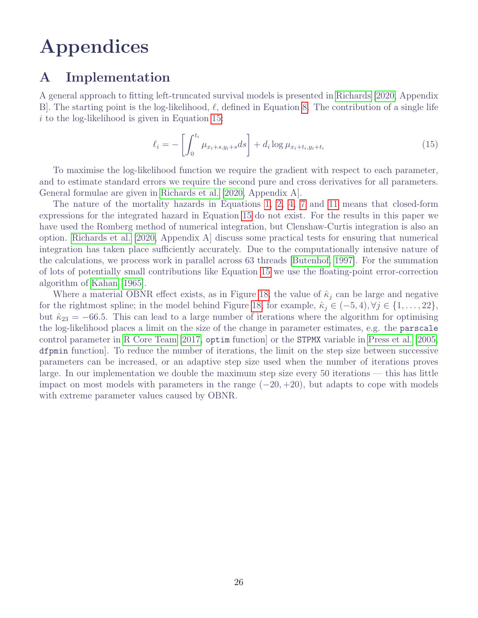## Appendices

## <span id="page-27-0"></span>A Implementation

A general approach to fitting left-truncated survival models is presented in [Richards](#page-25-5) [\[2020,](#page-25-5) Appendix B. The starting point is the log-likelihood,  $\ell$ , defined in Equation [8.](#page-13-0) The contribution of a single life  $i$  to the log-likelihood is given in Equation [15:](#page-27-1)

<span id="page-27-1"></span>
$$
\ell_i = -\left[\int_0^{t_i} \mu_{x_i+s,y_i+s} ds\right] + d_i \log \mu_{x_i+t_i,y_i+t_i}
$$
\n(15)

To maximise the log-likelihood function we require the gradient with respect to each parameter, and to estimate standard errors we require the second pure and cross derivatives for all parameters. General formulae are given in [Richards et al.](#page-25-10) [\[2020,](#page-25-10) Appendix A].

The nature of the mortality hazards in Equations [1,](#page-6-1) [2,](#page-6-2) [4,](#page-6-4) [7](#page-11-1) and [11](#page-19-2) means that closed-form expressions for the integrated hazard in Equation [15](#page-27-1) do not exist. For the results in this paper we have used the Romberg method of numerical integration, but Clenshaw-Curtis integration is also an option. [Richards et al.](#page-25-10) [\[2020,](#page-25-10) Appendix A] discuss some practical tests for ensuring that numerical integration has taken place sufficiently accurately. Due to the computationally intensive nature of the calculations, we process work in parallel across 63 threads [\[Butenhof, 1997\]](#page-24-15). For the summation of lots of potentially small contributions like Equation [15](#page-27-1) we use the floating-point error-correction algorithm of [Kahan](#page-25-15) [\[1965\]](#page-25-15).

Where a material OBNR effect exists, as in Figure [18,](#page-19-1) the value of  $\hat{\kappa}_i$  can be large and negative for the rightmost spline; in the model behind Figure [18,](#page-19-1) for example,  $\hat{\kappa}_j \in (-5, 4)$ ,  $\forall j \in \{1, \ldots, 22\}$ , but  $\hat{\kappa}_{23} = -66.5$ . This can lead to a large number of iterations where the algorithm for optimising the log-likelihood places a limit on the size of the change in parameter estimates, e.g. the parscale control parameter in [R Core Team](#page-25-16) [\[2017,](#page-25-16) optim function] or the STPMX variable in [Press et al.](#page-25-17) [\[2005,](#page-25-17) dfpmin function]. To reduce the number of iterations, the limit on the step size between successive parameters can be increased, or an adaptive step size used when the number of iterations proves large. In our implementation we double the maximum step size every 50 iterations — this has little impact on most models with parameters in the range  $(-20, +20)$ , but adapts to cope with models with extreme parameter values caused by OBNR.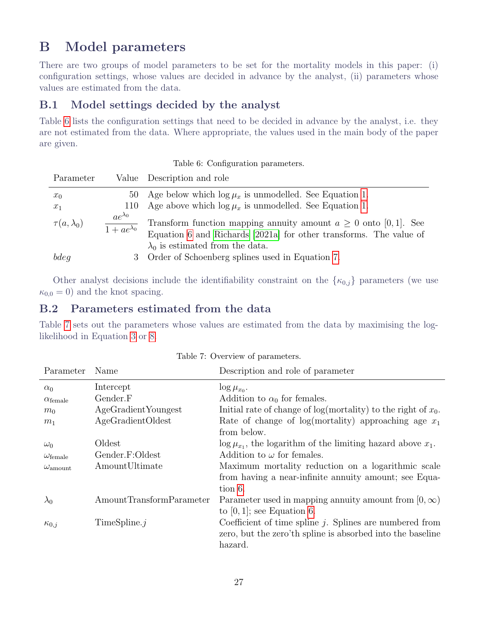## B Model parameters

There are two groups of model parameters to be set for the mortality models in this paper: (i) configuration settings, whose values are decided in advance by the analyst, (ii) parameters whose values are estimated from the data.

#### B.1 Model settings decided by the analyst

Table [6](#page-28-0) lists the configuration settings that need to be decided in advance by the analyst, i.e. they are not estimated from the data. Where appropriate, the values used in the main body of the paper are given.

Table 6: Configuration parameters.

<span id="page-28-0"></span>

| Parameter           |                                          | Value Description and role                                                                                                                  |
|---------------------|------------------------------------------|---------------------------------------------------------------------------------------------------------------------------------------------|
| $x_0$<br>$x_1$      |                                          | 50 Age below which $\log \mu_x$ is unmodelled. See Equation 1.<br>110 Age above which $\log \mu_x$ is unmodelled. See Equation 1.           |
| $\tau(a,\lambda_0)$ | $ae^{\lambda_0}$<br>$1 + ae^{\lambda_0}$ | Transform function mapping annuity amount $a \geq 0$ onto [0, 1]. See<br>Equation 6 and Richards [2021a] for other transforms. The value of |
| bdeg                |                                          | $\lambda_0$ is estimated from the data.<br>3 Order of Schoenberg splines used in Equation 7.                                                |

Other analyst decisions include the identifiability constraint on the  $\{\kappa_{0,j}\}$  parameters (we use  $\kappa_{0,0} = 0$ ) and the knot spacing.

#### B.2 Parameters estimated from the data

Table [7](#page-28-1) sets out the parameters whose values are estimated from the data by maximising the loglikelihood in Equation [3](#page-6-3) or [8.](#page-13-0)

<span id="page-28-1"></span>

| Name                     | Description and role of parameter                                     |
|--------------------------|-----------------------------------------------------------------------|
| Intercept                | $\log \mu_{x_0}$ .                                                    |
| Gender.F                 | Addition to $\alpha_0$ for females.                                   |
| AgeGradient Youngest     | Initial rate of change of $log(mortality)$ to the right of $x_0$ .    |
| AgeGradientOldest        | Rate of change of log(mortality) approaching age $x_1$                |
|                          | from below.                                                           |
| Oldest                   | $\log \mu_{x_1}$ , the logarithm of the limiting hazard above $x_1$ . |
| Gender.F:Oldest          | Addition to $\omega$ for females.                                     |
| AmountUltimate           | Maximum mortality reduction on a logarithmic scale                    |
|                          | from having a near-infinite annuity amount; see Equa-                 |
|                          | tion 6.                                                               |
| AmountTransformParameter | Parameter used in mapping annuity amount from $[0, \infty)$           |
|                          | to $[0, 1]$ ; see Equation 6.                                         |
| TimeSpline.j             | Coefficient of time spline $j$ . Splines are numbered from            |
|                          | zero, but the zero'th spline is absorbed into the baseline            |
|                          | hazard.                                                               |
|                          |                                                                       |